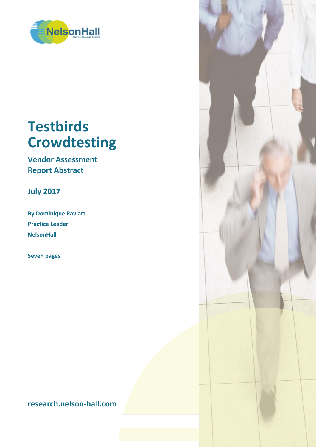

# **Testbirds Crowdtesting**

**Vendor Assessment Report Abstract**

**July 2017**

**By Dominique Raviart Practice Leader NelsonHall**

**Seven pages**

**research.nelson-hall.com**

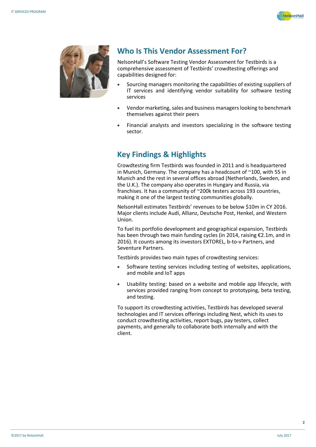



## **Who Is This Vendor Assessment For?**

NelsonHall's Software Testing Vendor Assessment for Testbirds is a comprehensive assessment of Testbirds' crowdtesting offerings and capabilities designed for:

- Sourcing managers monitoring the capabilities of existing suppliers of IT services and identifying vendor suitability for software testing services
- Vendor marketing, sales and business managers looking to benchmark themselves against their peers
- Financial analysts and investors specializing in the software testing sector.

# **Key Findings & Highlights**

Crowdtesting firm Testbirds was founded in 2011 and is headquartered in Munich, Germany. The company has a headcount of ~100, with 55 in Munich and the rest in several offices abroad (Netherlands, Sweden, and the U.K.). The company also operates in Hungary and Russia, via franchises. It has a community of ~200k testers across 193 countries, making it one of the largest testing communities globally.

NelsonHall estimates Testbirds' revenues to be below \$10m in CY 2016. Major clients include Audi, Allianz, Deutsche Post, Henkel, and Western Union.

To fuel its portfolio development and geographical expansion, Testbirds has been through two main funding cycles (in 2014, raising €2.1m, and in 2016). It counts among its investors EXTOREL, b-to-v Partners, and Seventure Partners.

Testbirds provides two main types of crowdtesting services:

- Software testing services including testing of websites, applications, and mobile and IoT apps
- Usability testing: based on a website and mobile app lifecycle, with services provided ranging from concept to prototyping, beta testing, and testing.

To support its crowdtesting activities, Testbirds has developed several technologies and IT services offerings including Nest, which its uses to conduct crowdtesting activities, report bugs, pay testers, collect payments, and generally to collaborate both internally and with the client.